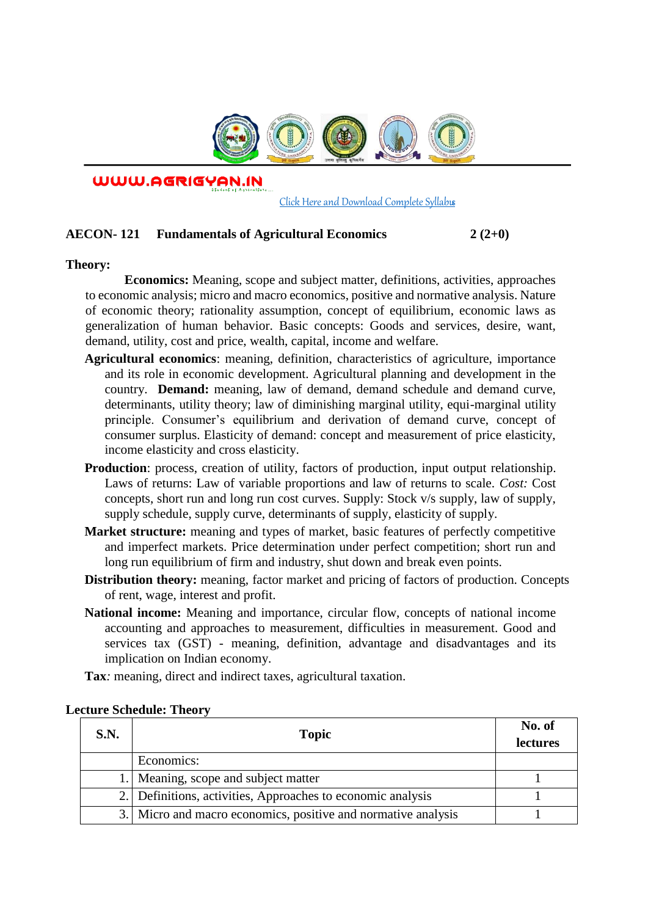

WWW.AGRIGYAN.IN

[Click Here and Download Complete Syllabus](http://agrigyan.in/)

## **AECON- 121 Fundamentals of Agricultural Economics 2 (2+0)**

## **Theory:**

 $\overline{a}$ 

**Economics:** Meaning, scope and subject matter, definitions, activities, approaches to economic analysis; micro and macro economics, positive and normative analysis. Nature of economic theory; rationality assumption, concept of equilibrium, economic laws as generalization of human behavior. Basic concepts: Goods and services, desire, want, demand, utility, cost and price, wealth, capital, income and welfare.

- **Agricultural economics**: meaning, definition, characteristics of agriculture, importance and its role in economic development. Agricultural planning and development in the country. **Demand:** meaning, law of demand, demand schedule and demand curve, determinants, utility theory; law of diminishing marginal utility, equi-marginal utility principle. Consumer's equilibrium and derivation of demand curve, concept of consumer surplus. Elasticity of demand: concept and measurement of price elasticity, income elasticity and cross elasticity.
- **Production**: process, creation of utility, factors of production, input output relationship. Laws of returns: Law of variable proportions and law of returns to scale. *Cost:* Cost concepts, short run and long run cost curves. Supply: Stock v/s supply, law of supply, supply schedule, supply curve, determinants of supply, elasticity of supply.
- **Market structure:** meaning and types of market, basic features of perfectly competitive and imperfect markets. Price determination under perfect competition; short run and long run equilibrium of firm and industry, shut down and break even points.
- **Distribution theory:** meaning, factor market and pricing of factors of production. Concepts of rent, wage, interest and profit.
- **National income:** Meaning and importance, circular flow, concepts of national income accounting and approaches to measurement, difficulties in measurement. Good and services tax (GST) - meaning, definition, advantage and disadvantages and its implication on Indian economy.

**Tax***:* meaning, direct and indirect taxes, agricultural taxation.

| S.N. | <b>Topic</b>                                                  | No. of<br>lectures |
|------|---------------------------------------------------------------|--------------------|
|      | Economics:                                                    |                    |
|      | 1. Meaning, scope and subject matter                          |                    |
|      | 2. Definitions, activities, Approaches to economic analysis   |                    |
|      | 3. Micro and macro economics, positive and normative analysis |                    |

## **Lecture Schedule: Theory**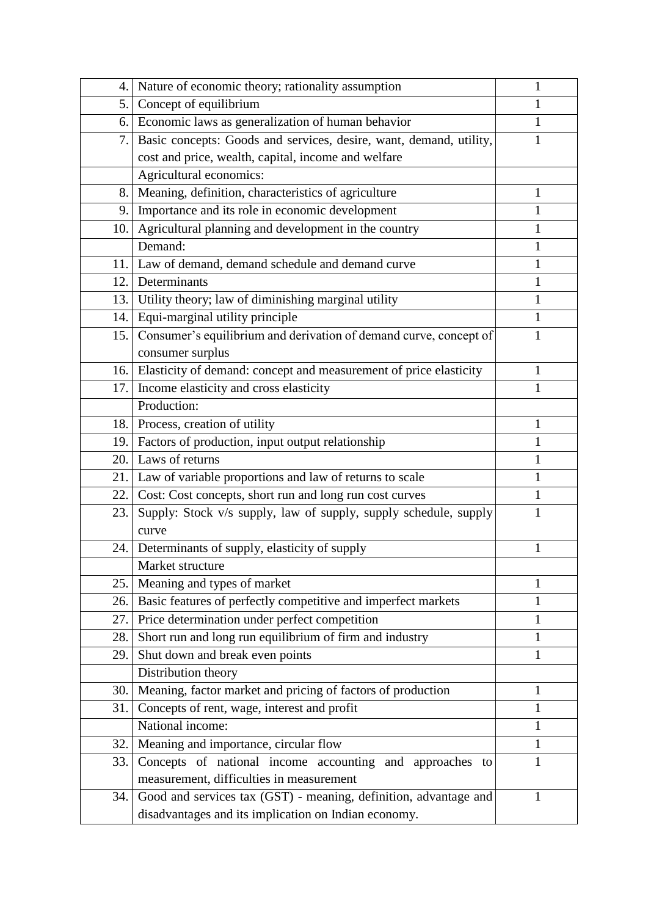| 4.   | Nature of economic theory; rationality assumption                  | 1            |
|------|--------------------------------------------------------------------|--------------|
| 5.1  | Concept of equilibrium                                             | 1            |
| 6.   | Economic laws as generalization of human behavior                  | 1            |
| 7.   | Basic concepts: Goods and services, desire, want, demand, utility, | 1            |
|      | cost and price, wealth, capital, income and welfare                |              |
|      | Agricultural economics:                                            |              |
| 8.   | Meaning, definition, characteristics of agriculture                | 1            |
| 9.   | Importance and its role in economic development                    | 1            |
| 10.  | Agricultural planning and development in the country               | 1            |
|      | Demand:                                                            | 1            |
| 11.  | Law of demand, demand schedule and demand curve                    | 1            |
| 12.  | Determinants                                                       | 1            |
| 13.  | Utility theory; law of diminishing marginal utility                | $\mathbf{1}$ |
| 14.  | Equi-marginal utility principle                                    | 1            |
| 15.  | Consumer's equilibrium and derivation of demand curve, concept of  | 1            |
|      | consumer surplus                                                   |              |
| 16.  | Elasticity of demand: concept and measurement of price elasticity  | 1            |
| 17.  | Income elasticity and cross elasticity                             | 1            |
|      | Production:                                                        |              |
| 18.  | Process, creation of utility                                       | 1            |
| 19.  | Factors of production, input output relationship                   | 1            |
| 20.  | Laws of returns                                                    | 1            |
| 21.  | Law of variable proportions and law of returns to scale            | 1            |
| 22.  | Cost: Cost concepts, short run and long run cost curves            | 1            |
| 23.  | Supply: Stock v/s supply, law of supply, supply schedule, supply   | 1            |
|      | curve                                                              |              |
| 24.1 | Determinants of supply, elasticity of supply                       | 1            |
|      | Market structure                                                   |              |
| 25.  | Meaning and types of market                                        | 1            |
| 26.  | Basic features of perfectly competitive and imperfect markets      | 1            |
| 27.  | Price determination under perfect competition                      | 1            |
| 28.  | Short run and long run equilibrium of firm and industry            | 1            |
| 29.  | Shut down and break even points                                    | 1            |
|      | Distribution theory                                                |              |
| 30.  | Meaning, factor market and pricing of factors of production        | 1            |
| 31.  | Concepts of rent, wage, interest and profit                        | 1            |
|      | National income:                                                   | 1            |
| 32.  | Meaning and importance, circular flow                              | 1            |
| 33.  | Concepts of national income accounting and approaches to           | $\mathbf{1}$ |
|      | measurement, difficulties in measurement                           |              |
| 34.  | Good and services tax (GST) - meaning, definition, advantage and   | 1            |
|      | disadvantages and its implication on Indian economy.               |              |